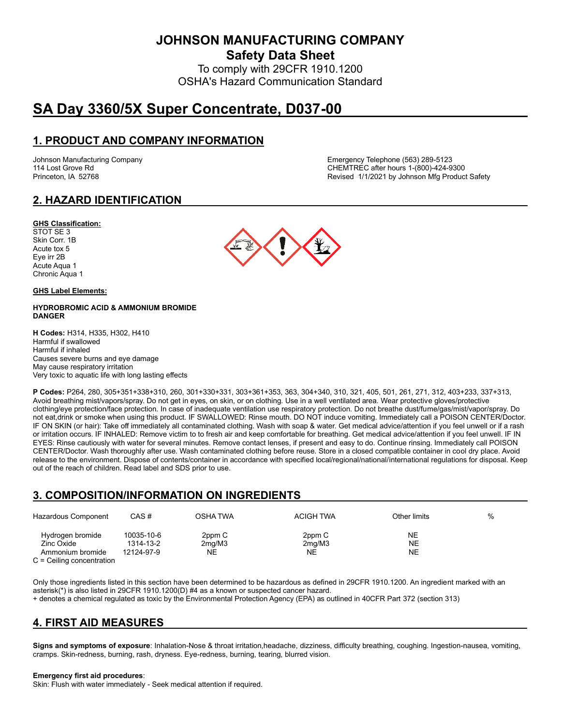**JOHNSON MANUFACTURING COMPANY**

**Safety Data Sheet**

To comply with 29CFR 1910.1200 OSHA's Hazard Communication Standard

# **SA Day 3360/5X Super Concentrate, D037-00**

# **1. PRODUCT AND COMPANY INFORMATION**

Johnson Manufacturing Company Emergency Telephone (563) 289-5123 114 Lost Grove Rd CHEMTREC after hours 1-(800)-424-9300 Princeton, IA 52768 **Revised 1/1/2021 by Johnson Mfg Product Safety** Revised 1/1/2021 by Johnson Mfg Product Safety

# **2. HAZARD IDENTIFICATION**

#### **GHS Classification:**

STOT SE 3 Skin Corr. 1B Acute tox 5 Eye irr 2B Acute Aqua 1 Chronic Aqua 1

#### **GHS Label Elements:**

#### **HYDROBROMIC ACID & AMMONIUM BROMIDE DANGER**

**H Codes:** H314, H335, H302, H410 Harmful if swallowed Harmful if inhaled Causes severe burns and eye damage May cause respiratory irritation Very toxic to aquatic life with long lasting effects

**P Codes:** P264, 280, 305+351+338+310, 260, 301+330+331, 303+361+353, 363, 304+340, 310, 321, 405, 501, 261, 271, 312, 403+233, 337+313, Avoid breathing mist/vapors/spray. Do not get in eyes, on skin, or on clothing. Use in a well ventilated area. Wear protective gloves/protective clothing/eye protection/face protection. In case of inadequate ventilation use respiratory protection. Do not breathe dust/fume/gas/mist/vapor/spray. Do not eat,drink or smoke when using this product. IF SWALLOWED: Rinse mouth. DO NOT induce vomiting. Immediately call a POISON CENTER/Doctor. IF ON SKIN (or hair): Take off immediately all contaminated clothing. Wash with soap & water. Get medical advice/attention if you feel unwell or if a rash or irritation occurs. IF INHALED: Remove victim to to fresh air and keep comfortable for breathing. Get medical advice/attention if you feel unwell. IF IN EYES: Rinse cautiously with water for several minutes. Remove contact lenses, if present and easy to do. Continue rinsing. Immediately call POISON CENTER/Doctor. Wash thoroughly after use. Wash contaminated clothing before reuse. Store in a closed compatible container in cool dry place. Avoid release to the environment. Dispose of contents/container in accordance with specified local/regional/national/international regulations for disposal. Keep out of the reach of children. Read label and SDS prior to use.

# **3. COMPOSITION/INFORMATION ON INGREDIENTS**

| Hazardous Component                                                               | CAS#                                  | OSHA TWA                            | <b>ACIGH TWA</b>       | Other limits          | % |
|-----------------------------------------------------------------------------------|---------------------------------------|-------------------------------------|------------------------|-----------------------|---|
| Hydrogen bromide<br>Zinc Oxide<br>Ammonium bromide<br>$C =$ Ceiling concentration | 10035-10-6<br>1314-13-2<br>12124-97-9 | 2ppm C<br>2 <sub>mq</sub> /M3<br>NE | 2ppm C<br>2mq/M3<br>NE | <b>NE</b><br>NE<br>NE |   |

Only those ingredients listed in this section have been determined to be hazardous as defined in 29CFR 1910.1200. An ingredient marked with an asterisk(\*) is also listed in 29CFR 1910.1200(D) #4 as a known or suspected cancer hazard.

+ denotes a chemical regulated as toxic by the Environmental Protection Agency (EPA) as outlined in 40CFR Part 372 (section 313)

# **4. FIRST AID MEASURES**

**Signs and symptoms of exposure**: Inhalation-Nose & throat irritation,headache, dizziness, difficulty breathing, coughing. Ingestion-nausea, vomiting, cramps. Skin-redness, burning, rash, dryness. Eye-redness, burning, tearing, blurred vision.

#### **Emergency first aid procedures**:

Skin: Flush with water immediately - Seek medical attention if required.

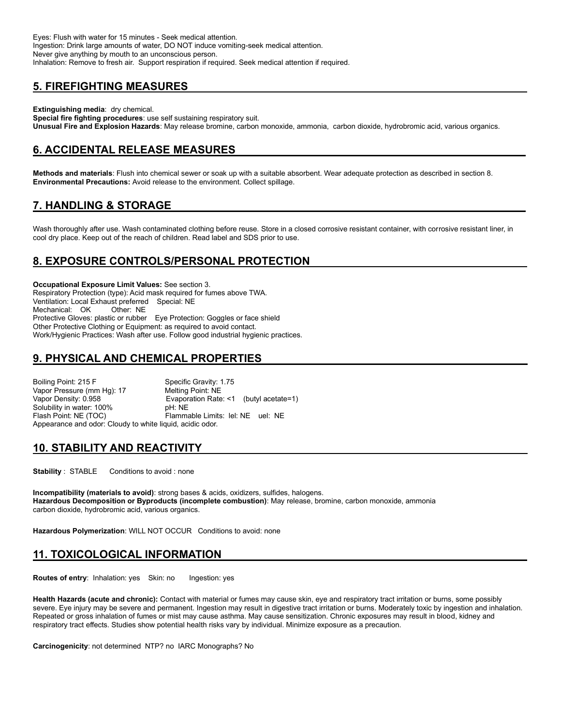Eyes: Flush with water for 15 minutes - Seek medical attention. Ingestion: Drink large amounts of water, DO NOT induce vomiting-seek medical attention. Never give anything by mouth to an unconscious person. Inhalation: Remove to fresh air. Support respiration if required. Seek medical attention if required.

# **5. FIREFIGHTING MEASURES**

**Extinguishing media**: dry chemical.

**Special fire fighting procedures**: use self sustaining respiratory suit. **Unusual Fire and Explosion Hazards**: May release bromine, carbon monoxide, ammonia, carbon dioxide, hydrobromic acid, various organics.

# **6. ACCIDENTAL RELEASE MEASURES**

**Methods and materials**: Flush into chemical sewer or soak up with a suitable absorbent. Wear adequate protection as described in section 8. **Environmental Precautions:** Avoid release to the environment. Collect spillage.

# **7. HANDLING & STORAGE**

Wash thoroughly after use. Wash contaminated clothing before reuse. Store in a closed corrosive resistant container, with corrosive resistant liner, in cool dry place. Keep out of the reach of children. Read label and SDS prior to use.

## **8. EXPOSURE CONTROLS/PERSONAL PROTECTION**

**Occupational Exposure Limit Values:** See section 3. Respiratory Protection (type): Acid mask required for fumes above TWA. Ventilation: Local Exhaust preferred Special: NE Mechanical: OK Protective Gloves: plastic or rubber Eye Protection: Goggles or face shield Other Protective Clothing or Equipment: as required to avoid contact. Work/Hygienic Practices: Wash after use. Follow good industrial hygienic practices.

# **9. PHYSICAL AND CHEMICAL PROPERTIES**

Boiling Point: 215 F Specific Gravity: 1.75 Vapor Pressure (mm Hg): 17 Melting Point: NE Vapor Density: 0.958 **Evaporation Rate: <1** (butyl acetate=1)<br>Solubility in water: 100% **Example: NE** Solubility in water: 100% Flash Point: NE (TOC) Flammable Limits: lel: NE uel: NE Appearance and odor: Cloudy to white liquid, acidic odor.

### **10. STABILITY AND REACTIVITY**

**Stability** : STABLE Conditions to avoid : none

**Incompatibility (materials to avoid)**: strong bases & acids, oxidizers, sulfides, halogens. **Hazardous Decomposition or Byproducts (incomplete combustion)**: May release, bromine, carbon monoxide, ammonia carbon dioxide, hydrobromic acid, various organics.

**Hazardous Polymerization**: WILL NOT OCCUR Conditions to avoid: none

# **11. TOXICOLOGICAL INFORMATION**

**Routes of entry:** Inhalation: yes Skin: no Ingestion: yes

**Health Hazards (acute and chronic):** Contact with material or fumes may cause skin, eye and respiratory tract irritation or burns, some possibly severe. Eye injury may be severe and permanent. Ingestion may result in digestive tract irritation or burns. Moderately toxic by ingestion and inhalation. Repeated or gross inhalation of fumes or mist may cause asthma. May cause sensitization. Chronic exposures may result in blood, kidney and respiratory tract effects. Studies show potential health risks vary by individual. Minimize exposure as a precaution.

**Carcinogenicity**: not determined NTP? no IARC Monographs? No